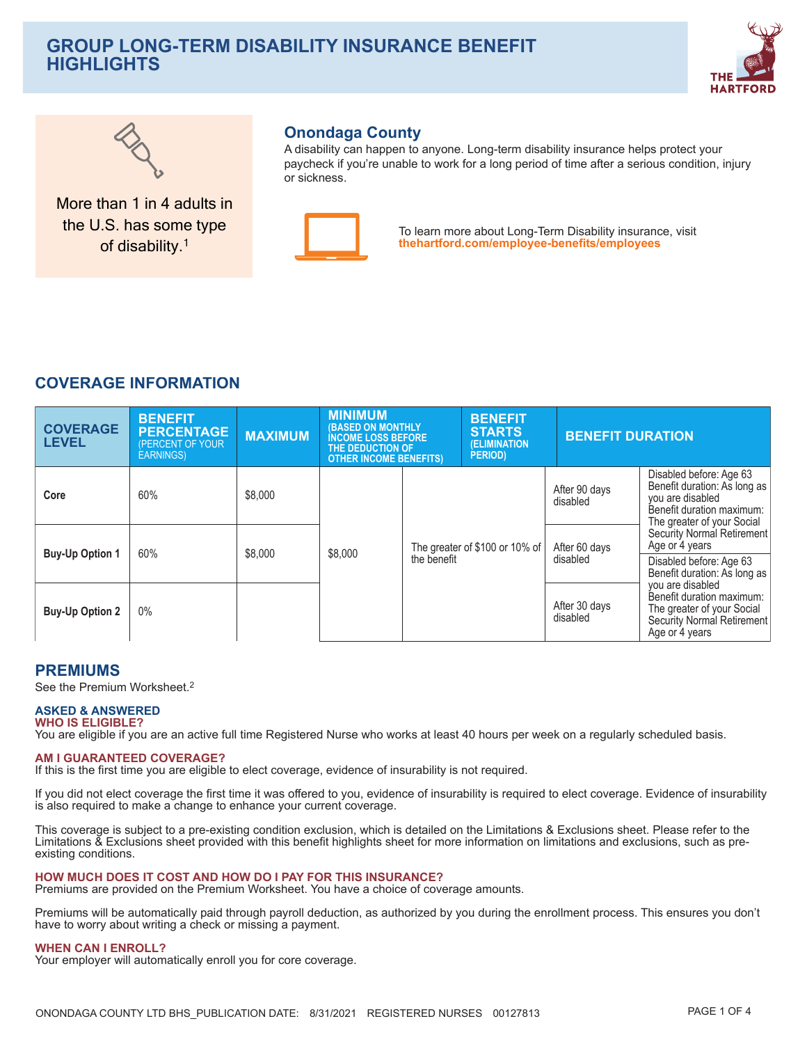# **GROUP LONG-TERM DISABILITY INSURANCE BENEFIT HIGHLIGHTS**





More than 1 in 4 adults in the U.S. has some type of disability.<sup>1</sup>

## **Onondaga County**

A disability can happen to anyone. Long-term disability insurance helps protect your paycheck if you're unable to work for a long period of time after a serious condition, injury or sickness



To learn more about Long-Term Disability insurance, visit thehartford.com/employee-benefits/employees

# **COVERAGE INFORMATION**

| <b>COVERAGE</b><br><b>LEVEL</b> | <b>BENEFIT</b><br><b>PERCENTAGE</b><br><b>PERCENT OF YOUR</b><br><b>EARNINGS)</b> | <b>MAXIMUM</b> | <b>MINIMUM</b><br><b>(BASED ON MONTHLY</b><br><b>INCOME LOSS BEFORE</b><br>THE DEDUCTION OF<br><b>OTHER INCOME BENEFITS)</b> |             | <b>BENEFIT</b><br><b>STARTS</b><br>(ELIMINATION<br><b>PERIOD</b> ) |                           | <b>BENEFIT DURATION</b>                                                                                                                |  |
|---------------------------------|-----------------------------------------------------------------------------------|----------------|------------------------------------------------------------------------------------------------------------------------------|-------------|--------------------------------------------------------------------|---------------------------|----------------------------------------------------------------------------------------------------------------------------------------|--|
| Core                            | 60%                                                                               | \$8,000        |                                                                                                                              |             |                                                                    | After 90 days<br>disabled | Disabled before: Age 63<br>Benefit duration: As long as<br>you are disabled<br>Benefit duration maximum:<br>The greater of your Social |  |
| <b>Buy-Up Option 1</b>          | 60%                                                                               | \$8,000        | \$8,000                                                                                                                      | the benefit | The greater of \$100 or 10% of                                     | After 60 days<br>disabled | Security Normal Retirement<br>Age or 4 years<br>Disabled before: Age 63<br>Benefit duration: As long as                                |  |
| <b>Buy-Up Option 2</b>          | 0%                                                                                |                |                                                                                                                              |             |                                                                    | After 30 days<br>disabled | you are disabled<br>Benefit duration maximum:<br>The greater of your Social<br>Security Normal Retirement<br>Age or 4 years            |  |

## **PREMIUMS**

See the Premium Worksheet.<sup>2</sup>

#### **ASKED & ANSWERED WHO IS ELIGIBLE?**

You are eligible if you are an active full time Registered Nurse who works at least 40 hours per week on a regularly scheduled basis.

#### **AM I GUARANTEED COVERAGE?**

If this is the first time you are eligible to elect coverage, evidence of insurability is not required.

If you did not elect coverage the first time it was offered to you, evidence of insurability is required to elect coverage. Evidence of insurability is also required to make a change to enhance your current coverage.

This coverage is subject to a pre-existing condition exclusion, which is detailed on the Limitations & Exclusions sheet. Please refer to the Limitations & Exclusions sheet provided with this benefit highlights sheet for more information on limitations and exclusions, such as preexisting conditions.

#### HOW MUCH DOES IT COST AND HOW DO I PAY FOR THIS INSURANCE?

Premiums are provided on the Premium Worksheet. You have a choice of coverage amounts.

Premiums will be automatically paid through payroll deduction, as authorized by you during the enrollment process. This ensures you don't have to worry about writing a check or missing a payment.

#### **WHEN CAN I ENROLL?**

Your employer will automatically enroll you for core coverage.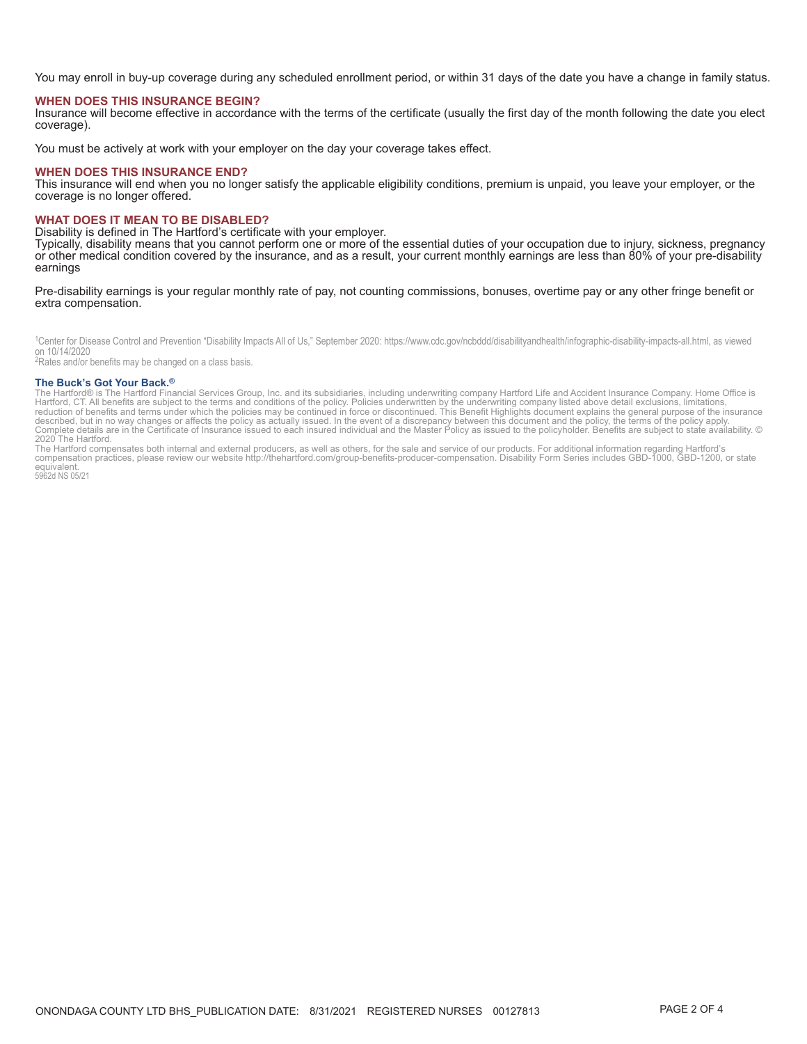You may enroll in buy-up coverage during any scheduled enrollment period, or within 31 days of the date you have a change in family status.

#### **WHEN DOES THIS INSURANCE BEGIN?**

Insurance will become effective in accordance with the terms of the certificate (usually the first day of the month following the date you elect coverage).

You must be actively at work with your employer on the day your coverage takes effect.

#### **WHEN DOES THIS INSURANCE END?**

This insurance will end when you no longer satisfy the applicable eligibility conditions, premium is unpaid, you leave your employer, or the coverage is no longer offered.

#### **WHAT DOES IT MEAN TO BE DISABLED?**

Disability is defined in The Hartford's certificate with your employer.

Typically, disability means that you cannot perform one or more of the essential duties of your occupation due to injury, sickness, pregnancy or other medical condition covered by the insurance, and as a result, your current monthly earnings are less than 80% of your pre-disability earnings

Pre-disability earnings is your regular monthly rate of pay, not counting commissions, bonuses, overtime pay or any other fringe benefit or extra compensation.

<sup>1</sup>Center for Disease Control and Prevention "Disability Impacts All of Us," September 2020: https://www.cdc.gov/ncbddd/disabilityandhealth/infographic-disability-impacts-all.html, as viewed on 10/14/2020

<sup>2</sup>Rates and/or benefits may be changed on a class basis.

#### The Buck's Got Your Back.<sup>®</sup>

The Buck S GOT TOUT Back."<br>The Hartford S is The Hartford Financial Services Group, Inc. and its subsidiaries, including underwriting company Hartford Life and Accident Insurance Company. Home Office is<br>The Hartford S is T 2020 The Hartford.

the Hartford compensates both internal and external producers, as well as others, for the sale and service of our products. For additional information regarding Hartford's<br>compensation practices, please review our website equivalent.

5962d NS 05/21